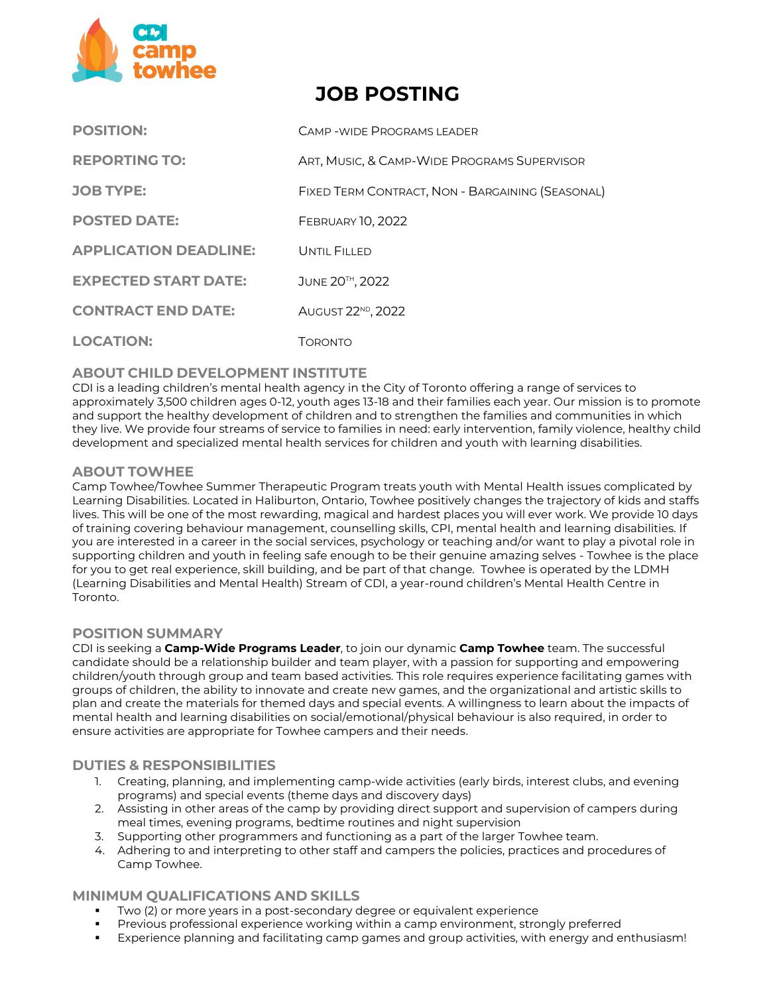

# **JOB POSTING**

| <b>POSITION:</b>             | CAMP-WIDE PROGRAMS LEADER                        |
|------------------------------|--------------------------------------------------|
| <b>REPORTING TO:</b>         | ART, MUSIC, & CAMP-WIDE PROGRAMS SUPERVISOR      |
| <b>JOB TYPE:</b>             | FIXED TERM CONTRACT, NON - BARGAINING (SEASONAL) |
| <b>POSTED DATE:</b>          | <b>FEBRUARY 10, 2022</b>                         |
| <b>APPLICATION DEADLINE:</b> | UNTIL FILLED                                     |
| <b>EXPECTED START DATE:</b>  | JUNE 20TH, 2022                                  |
| <b>CONTRACT END DATE:</b>    | AUGUST 22 <sup>ND</sup> , 2022                   |
| <b>LOCATION:</b>             | TORONTO                                          |

# **ABOUT CHILD DEVELOPMENT INSTITUTE**

CDI is a leading children's mental health agency in the City of Toronto offering a range of services to approximately 3,500 children ages 0‐12, youth ages 13-18 and their families each year. Our mission is to promote and support the healthy development of children and to strengthen the families and communities in which they live. We provide four streams of service to families in need: early intervention, family violence, healthy child development and specialized mental health services for children and youth with learning disabilities.

# **ABOUT TOWHEE**

Camp Towhee/Towhee Summer Therapeutic Program treats youth with Mental Health issues complicated by Learning Disabilities. Located in Haliburton, Ontario, Towhee positively changes the trajectory of kids and staffs lives. This will be one of the most rewarding, magical and hardest places you will ever work. We provide 10 days of training covering behaviour management, counselling skills, CPI, mental health and learning disabilities. If you are interested in a career in the social services, psychology or teaching and/or want to play a pivotal role in supporting children and youth in feeling safe enough to be their genuine amazing selves - Towhee is the place for you to get real experience, skill building, and be part of that change. Towhee is operated by the LDMH (Learning Disabilities and Mental Health) Stream of CDI, a year-round children's Mental Health Centre in Toronto.

# **POSITION SUMMARY**

CDI is seeking a **Camp-Wide Programs Leader**, to join our dynamic **Camp Towhee** team. The successful candidate should be a relationship builder and team player, with a passion for supporting and empowering children/youth through group and team based activities. This role requires experience facilitating games with groups of children, the ability to innovate and create new games, and the organizational and artistic skills to plan and create the materials for themed days and special events. A willingness to learn about the impacts of mental health and learning disabilities on social/emotional/physical behaviour is also required, in order to ensure activities are appropriate for Towhee campers and their needs.

# **DUTIES & RESPONSIBILITIES**

- 1. Creating, planning, and implementing camp-wide activities (early birds, interest clubs, and evening programs) and special events (theme days and discovery days)
- 2. Assisting in other areas of the camp by providing direct support and supervision of campers during meal times, evening programs, bedtime routines and night supervision
- 3. Supporting other programmers and functioning as a part of the larger Towhee team.
- 4. Adhering to and interpreting to other staff and campers the policies, practices and procedures of Camp Towhee.

# **MINIMUM QUALIFICATIONS AND SKILLS**

- Two (2) or more years in a post-secondary degree or equivalent experience
- **•** Previous professional experience working within a camp environment, strongly preferred
- Experience planning and facilitating camp games and group activities, with energy and enthusiasm!